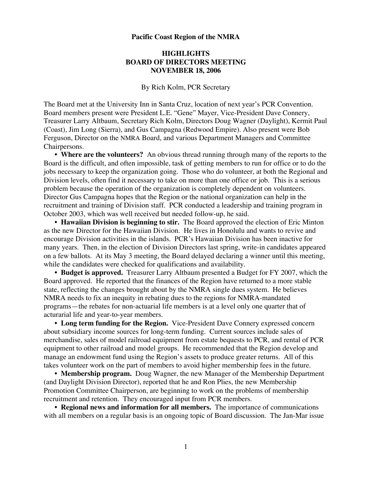## **Pacific Coast Region of the NMRA**

## **HIGHLIGHTS BOARD OF DIRECTORS MEETING NOVEMBER 18, 2006**

By Rich Kolm, PCR Secretary

The Board met at the University Inn in Santa Cruz, location of next year's PCR Convention. Board members present were President L.E. "Gene" Mayer, Vice-President Dave Connery, Treasurer Larry Altbaum, Secretary Rich Kolm, Directors Doug Wagner (Daylight), Kermit Paul (Coast), Jim Long (Sierra), and Gus Campagna (Redwood Empire). Also present were Bob Ferguson, Director on the NMRA Board, and various Department Managers and Committee Chairpersons.

**• Where are the volunteers?** An obvious thread running through many of the reports to the Board is the difficult, and often impossible, task of getting members to run for office or to do the jobs necessary to keep the organization going. Those who do volunteer, at both the Regional and Division levels, often find it necessary to take on more than one office or job. This is a serious problem because the operation of the organization is completely dependent on volunteers. Director Gus Campagna hopes that the Region or the national organization can help in the recruitment and training of Division staff. PCR conducted a leadership and training program in October 2003, which was well received but needed follow-up, he said.

• **Hawaiian Division is beginning to stir.** The Board approved the election of Eric Minton as the new Director for the Hawaiian Division. He lives in Honolulu and wants to revive and encourage Division activities in the islands. PCR's Hawaiian Division has been inactive for many years. Then, in the election of Division Directors last spring, write-in candidates appeared on a few ballots. At its May 3 meeting, the Board delayed declaring a winner until this meeting, while the candidates were checked for qualifications and availability.

**• Budget is approved.** Treasurer Larry Altbaum presented a Budget for FY 2007, which the Board approved. He reported that the finances of the Region have returned to a more stable state, reflecting the changes brought about by the NMRA single dues system. He believes NMRA needs to fix an inequity in rebating dues to the regions for NMRA-mandated programs—the rebates for non-actuarial life members is at a level only one quarter that of acturarial life and year-to-year members.

**• Long term funding for the Region.** Vice-President Dave Connery expressed concern about subsidiary income sources for long-term funding. Current sources include sales of merchandise, sales of model railroad equipment from estate bequests to PCR, and rental of PCR equipment to other railroad and model groups. He recommended that the Region develop and manage an endowment fund using the Region's assets to produce greater returns. All of this takes volunteer work on the part of members to avoid higher membership fees in the future.

**• Membership program.** Doug Wagner, the new Manager of the Membership Department (and Daylight Division Director), reported that he and Ron Plies, the new Membership Promotion Committee Chairperson, are beginning to work on the problems of membership recruitment and retention. They encouraged input from PCR members.

**• Regional news and information for all members.** The importance of communications with all members on a regular basis is an ongoing topic of Board discussion. The Jan-Mar issue